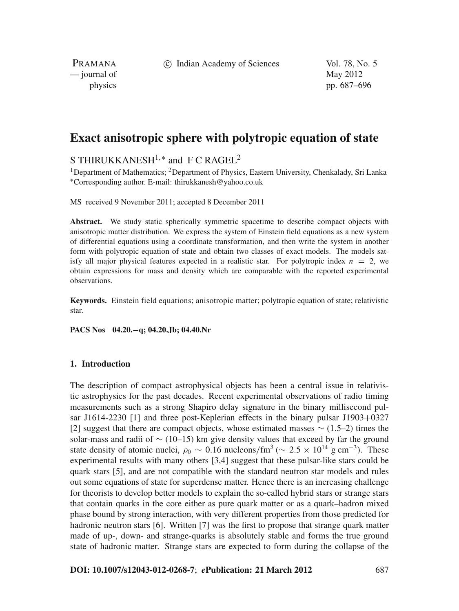c Indian Academy of Sciences Vol. 78, No. 5

PRAMANA  $\frac{1}{2}$  journal of May 2012

physics pp. 687–696

# **Exact anisotropic sphere with polytropic equation of state**

S THIRUKKANESH<sup>1,\*</sup> and F C RAGEL<sup>2</sup>

<sup>1</sup>Department of Mathematics; <sup>2</sup>Department of Physics, Eastern University, Chenkalady, Sri Lanka <sup>∗</sup>Corresponding author. E-mail: thirukkanesh@yahoo.co.uk

MS received 9 November 2011; accepted 8 December 2011

Abstract. We study static spherically symmetric spacetime to describe compact objects with anisotropic matter distribution. We express the system of Einstein field equations as a new system of differential equations using a coordinate transformation, and then write the system in another form with polytropic equation of state and obtain two classes of exact models. The models satisfy all major physical features expected in a realistic star. For polytropic index  $n = 2$ , we obtain expressions for mass and density which are comparable with the reported experimental observations.

**Keywords.** Einstein field equations; anisotropic matter; polytropic equation of state; relativistic star.

**PACS Nos 04.20.−q; 04.20.Jb; 04.40.Nr**

#### **1. Introduction**

The description of compact astrophysical objects has been a central issue in relativistic astrophysics for the past decades. Recent experimental observations of radio timing measurements such as a strong Shapiro delay signature in the binary millisecond pulsar J1614-2230 [1] and three post-Keplerian effects in the binary pulsar J1903+0327 [2] suggest that there are compact objects, whose estimated masses ∼ (1.5–2) times the solar-mass and radii of ∼ (10–15) km give density values that exceed by far the ground state density of atomic nuclei,  $\rho_0 \sim 0.16$  nucleons/fm<sup>3</sup> ( $\sim 2.5 \times 10^{14}$  g cm<sup>-3</sup>). These experimental results with many others [3,4] suggest that these pulsar-like stars could be quark stars [5], and are not compatible with the standard neutron star models and rules out some equations of state for superdense matter. Hence there is an increasing challenge for theorists to develop better models to explain the so-called hybrid stars or strange stars that contain quarks in the core either as pure quark matter or as a quark–hadron mixed phase bound by strong interaction, with very different properties from those predicted for hadronic neutron stars [6]. Written [7] was the first to propose that strange quark matter made of up-, down- and strange-quarks is absolutely stable and forms the true ground state of hadronic matter. Strange stars are expected to form during the collapse of the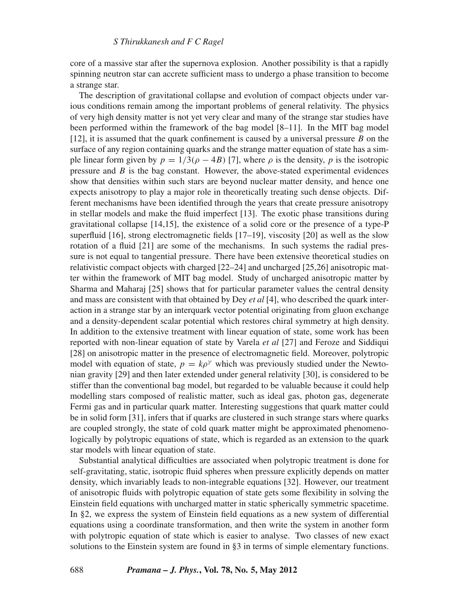core of a massive star after the supernova explosion. Another possibility is that a rapidly spinning neutron star can accrete sufficient mass to undergo a phase transition to become a strange star.

The description of gravitational collapse and evolution of compact objects under various conditions remain among the important problems of general relativity. The physics of very high density matter is not yet very clear and many of the strange star studies have been performed within the framework of the bag model [8–11]. In the MIT bag model [12], it is assumed that the quark confinement is caused by a universal pressure *B* on the surface of any region containing quarks and the strange matter equation of state has a simple linear form given by  $p = 1/3(\rho - 4B)$  [7], where  $\rho$  is the density, p is the isotropic pressure and *B* is the bag constant. However, the above-stated experimental evidences show that densities within such stars are beyond nuclear matter density, and hence one expects anisotropy to play a major role in theoretically treating such dense objects. Different mechanisms have been identified through the years that create pressure anisotropy in stellar models and make the fluid imperfect [13]. The exotic phase transitions during gravitational collapse [14,15], the existence of a solid core or the presence of a type-P superfluid [16], strong electromagnetic fields [17–19], viscosity [20] as well as the slow rotation of a fluid [21] are some of the mechanisms. In such systems the radial pressure is not equal to tangential pressure. There have been extensive theoretical studies on relativistic compact objects with charged [22–24] and uncharged [25,26] anisotropic matter within the framework of MIT bag model. Study of uncharged anisotropic matter by Sharma and Maharaj [25] shows that for particular parameter values the central density and mass are consistent with that obtained by Dey *et al* [4], who described the quark interaction in a strange star by an interquark vector potential originating from gluon exchange and a density-dependent scalar potential which restores chiral symmetry at high density. In addition to the extensive treatment with linear equation of state, some work has been reported with non-linear equation of state by Varela *et al* [27] and Feroze and Siddiqui [28] on anisotropic matter in the presence of electromagnetic field. Moreover, polytropic model with equation of state,  $p = k\rho^{\gamma}$  which was previously studied under the Newtonian gravity [29] and then later extended under general relativity [30], is considered to be stiffer than the conventional bag model, but regarded to be valuable because it could help modelling stars composed of realistic matter, such as ideal gas, photon gas, degenerate Fermi gas and in particular quark matter. Interesting suggestions that quark matter could be in solid form [31], infers that if quarks are clustered in such strange stars where quarks are coupled strongly, the state of cold quark matter might be approximated phenomenologically by polytropic equations of state, which is regarded as an extension to the quark star models with linear equation of state.

Substantial analytical difficulties are associated when polytropic treatment is done for self-gravitating, static, isotropic fluid spheres when pressure explicitly depends on matter density, which invariably leads to non-integrable equations [32]. However, our treatment of anisotropic fluids with polytropic equation of state gets some flexibility in solving the Einstein field equations with uncharged matter in static spherically symmetric spacetime. In §2, we express the system of Einstein field equations as a new system of differential equations using a coordinate transformation, and then write the system in another form with polytropic equation of state which is easier to analyse. Two classes of new exact solutions to the Einstein system are found in §3 in terms of simple elementary functions.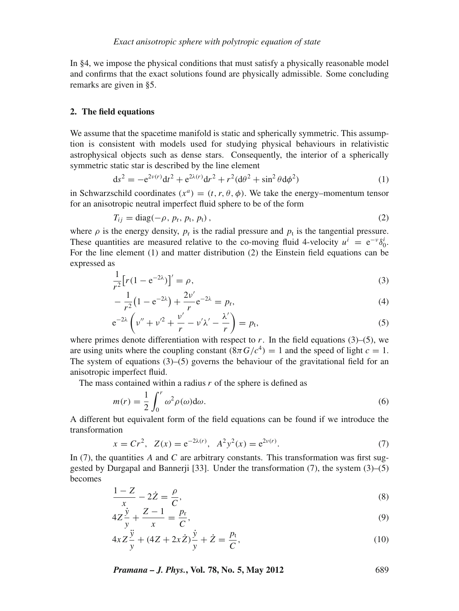In §4, we impose the physical conditions that must satisfy a physically reasonable model and confirms that the exact solutions found are physically admissible. Some concluding remarks are given in §5.

## **2. The field equations**

We assume that the spacetime manifold is static and spherically symmetric. This assumption is consistent with models used for studying physical behaviours in relativistic astrophysical objects such as dense stars. Consequently, the interior of a spherically symmetric static star is described by the line element

$$
ds^{2} = -e^{2\nu(r)}dt^{2} + e^{2\lambda(r)}dr^{2} + r^{2}(d\theta^{2} + \sin^{2}\theta d\phi^{2})
$$
 (1)

in Schwarzschild coordinates  $(x^a) = (t, r, \theta, \phi)$ . We take the energy–momentum tensor for an anisotropic neutral imperfect fluid sphere to be of the form

$$
T_{ij} = \text{diag}(-\rho, p_{\rm r}, p_{\rm t}, p_{\rm t}), \qquad (2)
$$

where  $\rho$  is the energy density,  $p_r$  is the radial pressure and  $p_t$  is the tangential pressure. These quantities are measured relative to the co-moving fluid 4-velocity  $u^i = e^{-\nu} \delta_0^i$ . For the line element (1) and matter distribution (2) the Einstein field equations can be expressed as

$$
\frac{1}{r^2} \left[ r(1 - e^{-2\lambda}) \right]' = \rho,
$$
\n<sup>(3)</sup>

$$
-\frac{1}{r^2}(1 - e^{-2\lambda}) + \frac{2\nu'}{r}e^{-2\lambda} = p_r,
$$
\n(4)

$$
e^{-2\lambda}\left(\nu'' + \nu'^2 + \frac{\nu'}{r} - \nu'\lambda' - \frac{\lambda'}{r}\right) = p_t,
$$
\n(5)

where primes denote differentiation with respect to  $r$ . In the field equations (3)–(5), we are using units where the coupling constant  $(8\pi G/c^4) = 1$  and the speed of light  $c = 1$ . The system of equations  $(3)$ – $(5)$  governs the behaviour of the gravitational field for an anisotropic imperfect fluid.

The mass contained within a radius *r* of the sphere is defined as

$$
m(r) = \frac{1}{2} \int_0^r \omega^2 \rho(\omega) d\omega.
$$
 (6)

A different but equivalent form of the field equations can be found if we introduce the transformation

$$
x = Cr^2, \ \ Z(x) = e^{-2\lambda(r)}, \ \ A^2 y^2(x) = e^{2\nu(r)}.
$$
 (7)

In (7), the quantities *A* and *C* are arbitrary constants. This transformation was first suggested by Durgapal and Bannerii [33]. Under the transformation  $(7)$ , the system  $(3)$ – $(5)$ becomes

$$
\frac{1-Z}{x} - 2\dot{Z} = \frac{\rho}{C},\tag{8}
$$

$$
4Z\frac{\dot{y}}{y} + \frac{Z-1}{x} = \frac{p_r}{C},
$$
\t(9)

$$
4xZ\frac{\ddot{y}}{y} + (4Z + 2x\dot{Z})\frac{\dot{y}}{y} + \dot{Z} = \frac{p_t}{C},
$$
\n(10)

*Pramana – J. Phys.***, Vol. 78, No. 5, May 2012** 689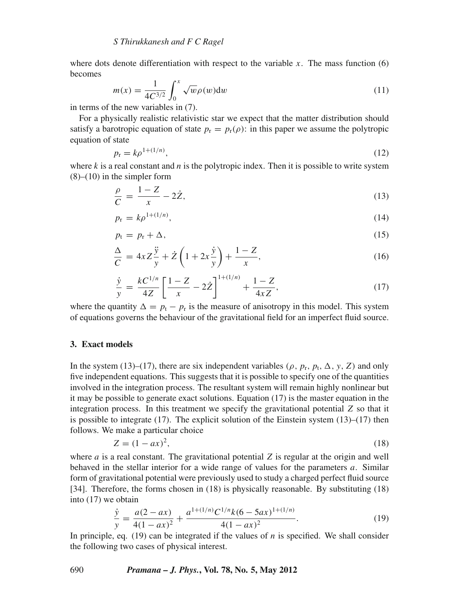where dots denote differentiation with respect to the variable  $x$ . The mass function  $(6)$ becomes

$$
m(x) = \frac{1}{4C^{3/2}} \int_0^x \sqrt{w} \rho(w) dw
$$
 (11)

in terms of the new variables in (7).

For a physically realistic relativistic star we expect that the matter distribution should satisfy a barotropic equation of state  $p_r = p_r(\rho)$ : in this paper we assume the polytropic equation of state

$$
p_{\rm r} = k \rho^{1 + (1/n)},\tag{12}
$$

where  $k$  is a real constant and  $n$  is the polytropic index. Then it is possible to write system  $(8)$ – $(10)$  in the simpler form

$$
\frac{\rho}{C} = \frac{1 - Z}{x} - 2\dot{Z},\tag{13}
$$

$$
p_{\rm r} = k \rho^{1 + (1/n)},\tag{14}
$$

$$
p_{t} = p_{r} + \Delta, \tag{15}
$$

$$
\frac{\Delta}{C} = 4xZ\frac{\ddot{y}}{y} + \dot{Z}\left(1 + 2x\frac{\dot{y}}{y}\right) + \frac{1 - Z}{x},\tag{16}
$$

$$
\frac{\dot{y}}{y} = \frac{kC^{1/n}}{4Z} \left[ \frac{1-Z}{x} - 2\dot{Z} \right]^{1+(1/n)} + \frac{1-Z}{4xZ},\tag{17}
$$

where the quantity  $\Delta = p_t - p_r$  is the measure of anisotropy in this model. This system of equations governs the behaviour of the gravitational field for an imperfect fluid source.

#### **3. Exact models**

In the system (13)–(17), there are six independent variables ( $\rho$ ,  $p_r$ ,  $p_t$ ,  $\Delta$ ,  $y$ ,  $Z$ ) and only five independent equations. This suggests that it is possible to specify one of the quantities involved in the integration process. The resultant system will remain highly nonlinear but it may be possible to generate exact solutions. Equation (17) is the master equation in the integration process. In this treatment we specify the gravitational potential *Z* so that it is possible to integrate  $(17)$ . The explicit solution of the Einstein system  $(13)$ – $(17)$  then follows. We make a particular choice

$$
Z = (1 - ax)^2,\t(18)
$$

where  $a$  is a real constant. The gravitational potential  $Z$  is regular at the origin and well behaved in the stellar interior for a wide range of values for the parameters *a*. Similar form of gravitational potential were previously used to study a charged perfect fluid source [34]. Therefore, the forms chosen in (18) is physically reasonable. By substituting (18) into (17) we obtain

$$
\frac{\dot{y}}{y} = \frac{a(2 - ax)}{4(1 - ax)^2} + \frac{a^{1 + (1/n)}C^{1/n}k(6 - 5ax)^{1 + (1/n)}}{4(1 - ax)^2}.
$$
\n(19)

In principle, eq. (19) can be integrated if the values of *n* is specified. We shall consider the following two cases of physical interest.

## 690 *Pramana – J. Phys.***, Vol. 78, No. 5, May 2012**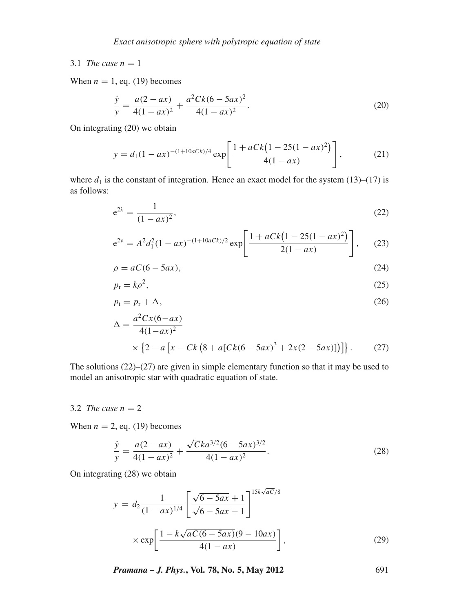## 3.1 *The case*  $n = 1$

When  $n = 1$ , eq. (19) becomes

$$
\frac{\dot{y}}{y} = \frac{a(2 - ax)}{4(1 - ax)^2} + \frac{a^2 Ck(6 - 5ax)^2}{4(1 - ax)^2}.
$$
\n(20)

On integrating (20) we obtain

$$
y = d_1 (1 - ax)^{-(1 + 10aCk)/4} \exp\left[\frac{1 + aCk(1 - 25(1 - ax)^2)}{4(1 - ax)}\right],
$$
 (21)

where  $d_1$  is the constant of integration. Hence an exact model for the system (13)–(17) is as follows:

$$
e^{2\lambda} = \frac{1}{(1 - ax)^2},
$$
 (22)

$$
e^{2\nu} = A^2 d_1^2 (1 - ax)^{-(1+10aCk)/2} \exp\left[\frac{1 + aCk(1 - 25(1 - ax)^2)}{2(1 - ax)}\right],
$$
 (23)

$$
\rho = aC(6 - 5ax),\tag{24}
$$

$$
p_{\rm r} = k\rho^2,\tag{25}
$$

$$
p_t = p_r + \Delta,\tag{26}
$$

$$
\Delta = \frac{a^2 C x (6 - ax)}{4(1 - ax)^2}
$$
  
 
$$
\times \left\{2 - a \left[x - Ck \left(8 + a[Ck(6 - 5ax)^3 + 2x(2 - 5ax)]\right)\right]\right\}.
$$
 (27)

The solutions (22)–(27) are given in simple elementary function so that it may be used to model an anisotropic star with quadratic equation of state.

#### 3.2 *The case*  $n = 2$

When  $n = 2$ , eq. (19) becomes

$$
\frac{\dot{y}}{y} = \frac{a(2 - ax)}{4(1 - ax)^2} + \frac{\sqrt{C}ka^{3/2}(6 - 5ax)^{3/2}}{4(1 - ax)^2}.
$$
\n(28)

On integrating (28) we obtain

$$
y = d_2 \frac{1}{(1 - ax)^{1/4}} \left[ \frac{\sqrt{6 - 5ax} + 1}{\sqrt{6 - 5ax} - 1} \right]^{15k\sqrt{aC}/8}
$$

$$
\times \exp\left[ \frac{1 - k\sqrt{aC(6 - 5ax)}(9 - 10ax)}{4(1 - ax)} \right],
$$
(29)

*Pramana – J. Phys.***, Vol. 78, No. 5, May 2012** 691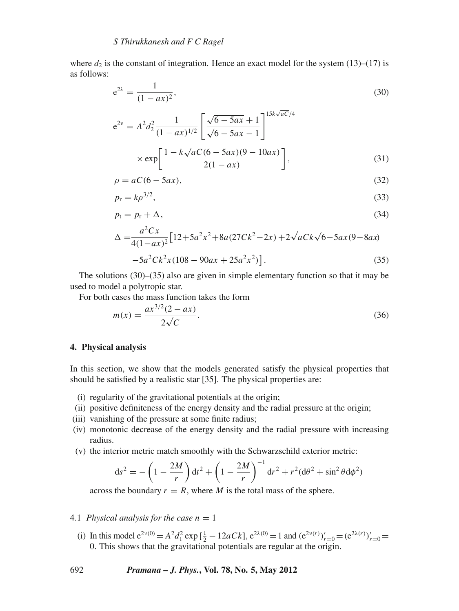where  $d_2$  is the constant of integration. Hence an exact model for the system (13)–(17) is as follows:

$$
e^{2\lambda} = \frac{1}{(1 - ax)^2},\tag{30}
$$

$$
e^{2\nu} = A^2 d_2^2 \frac{1}{(1 - ax)^{1/2}} \left[ \frac{\sqrt{6 - 5ax} + 1}{\sqrt{6 - 5ax} - 1} \right]^{15k\sqrt{aC}/4}
$$
  
×  $\exp \left[ \frac{1 - k\sqrt{aC(6 - 5ax)}(9 - 10ax)}{2(1 - ax)} \right],$  (31)

$$
\rho = aC(6 - 5ax),\tag{32}
$$

$$
p_{\rm r} = k\rho^{3/2},\tag{33}
$$

$$
p_t = p_r + \Delta,\tag{34}
$$

$$
\Delta = \frac{a^2 C x}{4(1 - ax)^2} \left[ 12 + 5a^2 x^2 + 8a(27Ck^2 - 2x) + 2\sqrt{aCk\sqrt{6 - 5ax}} (9 - 8ax) - 5a^2 Ck^2 x (108 - 90ax + 25a^2 x^2) \right].
$$
\n(35)

The solutions (30)–(35) also are given in simple elementary function so that it may be used to model a polytropic star.

For both cases the mass function takes the form

$$
m(x) = \frac{ax^{3/2}(2 - ax)}{2\sqrt{C}}.
$$
\n(36)

#### **4. Physical analysis**

In this section, we show that the models generated satisfy the physical properties that should be satisfied by a realistic star [35]. The physical properties are:

- (i) regularity of the gravitational potentials at the origin;
- (ii) positive definiteness of the energy density and the radial pressure at the origin;
- (iii) vanishing of the pressure at some finite radius;
- (iv) monotonic decrease of the energy density and the radial pressure with increasing radius.
- (v) the interior metric match smoothly with the Schwarzschild exterior metric:

$$
ds^{2} = -\left(1 - \frac{2M}{r}\right)dt^{2} + \left(1 - \frac{2M}{r}\right)^{-1}dr^{2} + r^{2}(d\theta^{2} + \sin^{2}\theta d\phi^{2})
$$

across the boundary  $r = R$ , where *M* is the total mass of the sphere.

#### 4.1 *Physical analysis for the case*  $n = 1$

(i) In this model  $e^{2\nu(0)} = A^2 d_1^2 \exp\left[\frac{1}{2} - 12aCk\right], e^{2\lambda(0)} = 1$  and  $(e^{2\nu(r)})'_{r=0} = (e^{2\lambda(r)})'_{r=0} =$ 0. This shows that the gravitational potentials are regular at the origin.

## 692 *Pramana – J. Phys.***, Vol. 78, No. 5, May 2012**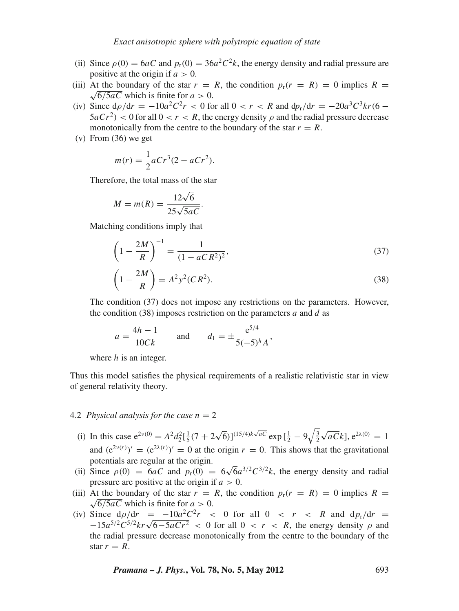- (ii) Since  $\rho(0) = 6aC$  and  $p_r(0) = 36a^2C^2k$ , the energy density and radial pressure are positive at the origin if  $a > 0$ .
- (iii) At the boundary of the star  $r = R$ , the condition  $p_r(r = R) = 0$  implies  $R = \sqrt{6/5aC}$  which is finite for  $a > 0$ .
- (iv) Since  $d\rho/dr = -10a^2C^2r < 0$  for all  $0 < r < R$  and  $d p_r/dr = -20a^3C^3kr(6 5aCr^2$  < 0 for all  $0 < r < R$ , the energy density  $\rho$  and the radial pressure decrease monotonically from the centre to the boundary of the star  $r = R$ .
- (v) From (36) we get

$$
m(r) = \frac{1}{2}aCr^3(2 - aCr^2).
$$

Therefore, the total mass of the star

$$
M = m(R) = \frac{12\sqrt{6}}{25\sqrt{5aC}}.
$$

Matching conditions imply that

$$
\left(1 - \frac{2M}{R}\right)^{-1} = \frac{1}{(1 - aCR^2)^2},
$$
\n
$$
\left(1 - \frac{2M}{1 - a^2c^2}(CR^2)\right)
$$
\n(37)

$$
\left(1 - \frac{2M}{R}\right) = A^2 y^2 (CR^2).
$$
\n(38)

The condition (37) does not impose any restrictions on the parameters. However, the condition (38) imposes restriction on the parameters *a* and *d* as

$$
a = \frac{4h - 1}{10Ck}
$$
 and  $d_1 = \pm \frac{e^{5/4}}{5(-5)^h A}$ ,

where *h* is an integer.

Thus this model satisfies the physical requirements of a realistic relativistic star in view of general relativity theory.

#### 4.2 *Physical analysis for the case*  $n = 2$

- (i) In this case  $e^{2\nu(0)} = A^2 d_2^2 \left[\frac{1}{5}(7 + 2\sqrt{6})\right]^{(15/4)k\sqrt{aC}} \exp\left[\frac{1}{2} 9\sqrt{\frac{3}{2}}\sqrt{aC}k\right], e^{2\lambda(0)} = 1$ and  $(e^{2\nu(r)})' = (e^{2\lambda(r)})' = 0$  at the origin  $r = 0$ . This shows that the gravitational potentials are regular at the origin.
- (ii) Since  $\rho(0) = 6aC$  and  $p_r(0) = 6\sqrt{6}a^{3/2}C^{3/2}k$ , the energy density and radial pressure are positive at the origin if  $a > 0$ .
- (iii) At the boundary of the star  $r = R$ , the condition  $p_r(r = R) = 0$  implies  $R = \sqrt{6/5aC}$  which is finite for  $a > 0$ .
- (iv) Since  $d\rho/dr = -10a^2C^2r$  < 0 for all 0 < *r* < *R* and  $d\rho_r/dr =$  $-15a^{5/2}C^{5/2}kr\sqrt{6-5aCr^2}$  < 0 for all 0 < *r* < *R*, the energy density  $\rho$  and the radial pressure decrease monotonically from the centre to the boundary of the star  $r = R$ .

*Pramana – J. Phys.***, Vol. 78, No. 5, May 2012** 693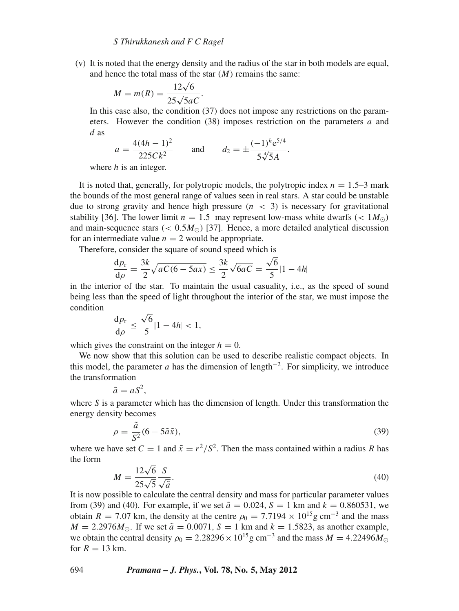(v) It is noted that the energy density and the radius of the star in both models are equal, and hence the total mass of the star (*M*) remains the same:

$$
M = m(R) = \frac{12\sqrt{6}}{25\sqrt{5aC}}.
$$

In this case also, the condition (37) does not impose any restrictions on the parameters. However the condition (38) imposes restriction on the parameters *a* and *d* as

$$
a = \frac{4(4h - 1)^2}{225Ck^2} \quad \text{and} \quad d_2 = \pm \frac{(-1)^h e^{5/4}}{5\sqrt[4]{5}A}.
$$

where *h* is an integer.

It is noted that, generally, for polytropic models, the polytropic index  $n = 1.5-3$  mark the bounds of the most general range of values seen in real stars. A star could be unstable due to strong gravity and hence high pressure  $(n < 3)$  is necessary for gravitational stability [36]. The lower limit  $n = 1.5$  may represent low-mass white dwarfs (<  $1 M_{\odot}$ ) and main-sequence stars  $(< 0.5 M_{\odot})$  [37]. Hence, a more detailed analytical discussion for an intermediate value  $n = 2$  would be appropriate.

Therefore, consider the square of sound speed which is

$$
\frac{dp_r}{d\rho} = \frac{3k}{2}\sqrt{aC(6-5ax)} \le \frac{3k}{2}\sqrt{6aC} = \frac{\sqrt{6}}{5}|1-4h|
$$

in the interior of the star. To maintain the usual casuality, i.e., as the speed of sound being less than the speed of light throughout the interior of the star, we must impose the condition

$$
\frac{\mathrm{d}p_{\rm r}}{\mathrm{d}\rho} \le \frac{\sqrt{6}}{5} |1 - 4h| < 1,
$$

which gives the constraint on the integer  $h = 0$ .

We now show that this solution can be used to describe realistic compact objects. In this model, the parameter *a* has the dimension of length<sup>-2</sup>. For simplicity, we introduce the transformation

$$
\tilde{a}=aS^2,
$$

where *S* is a parameter which has the dimension of length. Under this transformation the energy density becomes

$$
\rho = \frac{\tilde{a}}{S^2} (6 - 5\tilde{a}\tilde{x}),\tag{39}
$$

where we have set  $C = 1$  and  $\tilde{x} = r^2/S^2$ . Then the mass contained within a radius *R* has the form

$$
M = \frac{12\sqrt{6}}{25\sqrt{5}} \frac{S}{\sqrt{\tilde{a}}}.\tag{40}
$$

It is now possible to calculate the central density and mass for particular parameter values from (39) and (40). For example, if we set  $\tilde{a} = 0.024$ ,  $S = 1$  km and  $k = 0.860531$ , we obtain *R* = 7.07 km, the density at the centre  $\rho_0 = 7.7194 \times 10^{15}$  g cm<sup>-3</sup> and the mass  $M = 2.2976 M_{\odot}$ . If we set  $\tilde{a} = 0.0071$ ,  $S = 1$  km and  $k = 1.5823$ , as another example, we obtain the central density  $\rho_0 = 2.28296 \times 10^{15}$  g cm<sup>-3</sup> and the mass  $M = 4.22496 M_{\odot}$ for  $R = 13$  km.

694 *Pramana – J. Phys.***, Vol. 78, No. 5, May 2012**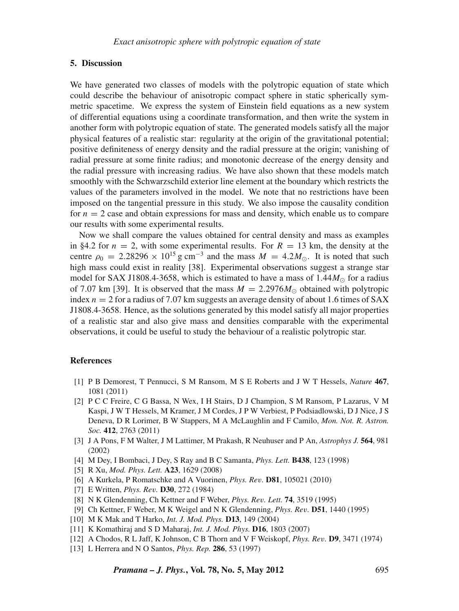## **5. Discussion**

We have generated two classes of models with the polytropic equation of state which could describe the behaviour of anisotropic compact sphere in static spherically symmetric spacetime. We express the system of Einstein field equations as a new system of differential equations using a coordinate transformation, and then write the system in another form with polytropic equation of state. The generated models satisfy all the major physical features of a realistic star: regularity at the origin of the gravitational potential; positive definiteness of energy density and the radial pressure at the origin; vanishing of radial pressure at some finite radius; and monotonic decrease of the energy density and the radial pressure with increasing radius. We have also shown that these models match smoothly with the Schwarzschild exterior line element at the boundary which restricts the values of the parameters involved in the model. We note that no restrictions have been imposed on the tangential pressure in this study. We also impose the causality condition for  $n = 2$  case and obtain expressions for mass and density, which enable us to compare our results with some experimental results.

Now we shall compare the values obtained for central density and mass as examples in §4.2 for  $n = 2$ , with some experimental results. For  $R = 13$  km, the density at the centre  $\rho_0 = 2.28296 \times 10^{15}$  g cm<sup>-3</sup> and the mass  $M = 4.2 M_{\odot}$ . It is noted that such high mass could exist in reality [38]. Experimental observations suggest a strange star model for SAX J1808.4-3658, which is estimated to have a mass of  $1.44M_{\odot}$  for a radius of 7.07 km [39]. It is observed that the mass  $M = 2.2976M_{\odot}$  obtained with polytropic index  $n = 2$  for a radius of 7.07 km suggests an average density of about 1.6 times of SAX J1808.4-3658. Hence, as the solutions generated by this model satisfy all major properties of a realistic star and also give mass and densities comparable with the experimental observations, it could be useful to study the behaviour of a realistic polytropic star.

#### **References**

- [1] P B Demorest, T Pennucci, S M Ransom, M S E Roberts and J W T Hessels, *Nature* **467**, 1081 (2011)
- [2] P C C Freire, C G Bassa, N Wex, I H Stairs, D J Champion, S M Ransom, P Lazarus, V M Kaspi, J W T Hessels, M Kramer, J M Cordes, J P W Verbiest, P Podsiadlowski, D J Nice, J S Deneva, D R Lorimer, B W Stappers, M A McLaughlin and F Camilo, *Mon. Not. R. Astron. Soc.* **412**, 2763 (2011)
- [3] J A Pons, F M Walter, J M Lattimer, M Prakash, R Neuhuser and P An, *Astrophys J.* **564**, 981 (2002)
- [4] M Dey, I Bombaci, J Dey, S Ray and B C Samanta, *Phys. Lett.* **B438**, 123 (1998)
- [5] R Xu, *Mod. Phys. Lett.* **A23**, 1629 (2008)
- [6] A Kurkela, P Romatschke and A Vuorinen, *Phys. Re*v*.* **D81**, 105021 (2010)
- [7] E Written, *Phys. Re*v*.* **D30**, 272 (1984)
- [8] N K Glendenning, Ch Kettner and F Weber, *Phys. Re*v*. Lett.* **74**, 3519 (1995)
- [9] Ch Kettner, F Weber, M K Weigel and N K Glendenning, *Phys. Re*v*.* **D51**, 1440 (1995)
- [10] M K Mak and T Harko, *Int. J. Mod. Phys.* **D13**, 149 (2004)
- [11] K Komathiraj and S D Maharaj, *Int. J. Mod. Phys.* **D16**, 1803 (2007)
- [12] A Chodos, R L Jaff, K Johnson, C B Thorn and V F Weiskopf, *Phys. Re*v*.* **D9**, 3471 (1974)
- [13] L Herrera and N O Santos, *Phys. Rep.* **286**, 53 (1997)